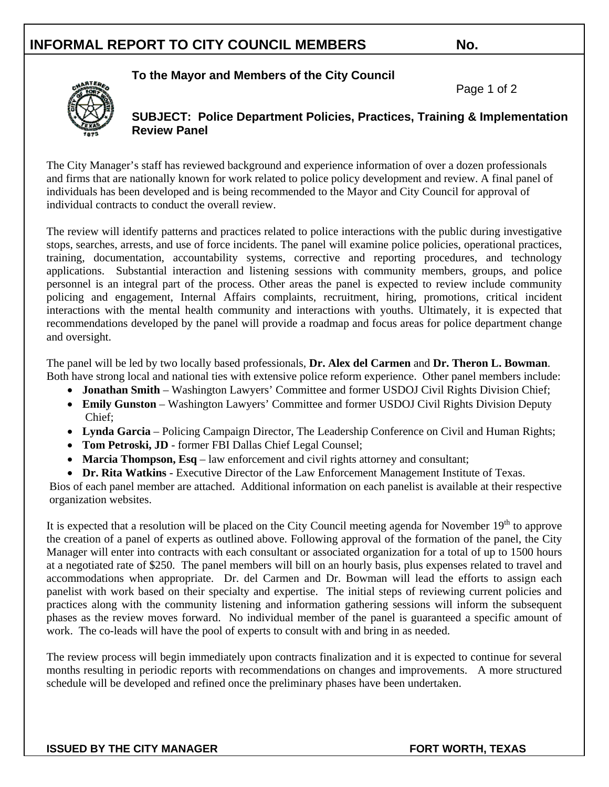## **INFORMAL REPORT TO CITY COUNCIL MEMBERS No.**

## **To the Mayor and Members of the City Council**

Page 1 of 2



**SUBJECT: Police Department Policies, Practices, Training & Implementation Review Panel**

The City Manager's staff has reviewed background and experience information of over a dozen professionals and firms that are nationally known for work related to police policy development and review. A final panel of individuals has been developed and is being recommended to the Mayor and City Council for approval of individual contracts to conduct the overall review.

The review will identify patterns and practices related to police interactions with the public during investigative stops, searches, arrests, and use of force incidents. The panel will examine police policies, operational practices, training, documentation, accountability systems, corrective and reporting procedures, and technology applications. Substantial interaction and listening sessions with community members, groups, and police personnel is an integral part of the process. Other areas the panel is expected to review include community policing and engagement, Internal Affairs complaints, recruitment, hiring, promotions, critical incident interactions with the mental health community and interactions with youths. Ultimately, it is expected that recommendations developed by the panel will provide a roadmap and focus areas for police department change and oversight.

The panel will be led by two locally based professionals, **Dr. Alex del Carmen** and **Dr. Theron L. Bowman**. Both have strong local and national ties with extensive police reform experience. Other panel members include:

- **Jonathan Smith** Washington Lawyers' Committee and former USDOJ Civil Rights Division Chief;
- **Emily Gunston** Washington Lawyers' Committee and former USDOJ Civil Rights Division Deputy Chief;
- **Lynda Garcia** Policing Campaign Director, The Leadership Conference on Civil and Human Rights;
- **Tom Petroski, JD** former FBI Dallas Chief Legal Counsel;
- **Marcia Thompson, Esq** law enforcement and civil rights attorney and consultant;
- **Dr. Rita Watkins** Executive Director of the Law Enforcement Management Institute of Texas.

Bios of each panel member are attached. Additional information on each panelist is available at their respective organization websites.

It is expected that a resolution will be placed on the City Council meeting agenda for November 19<sup>th</sup> to approve the creation of a panel of experts as outlined above. Following approval of the formation of the panel, the City Manager will enter into contracts with each consultant or associated organization for a total of up to 1500 hours at a negotiated rate of \$250. The panel members will bill on an hourly basis, plus expenses related to travel and accommodations when appropriate. Dr. del Carmen and Dr. Bowman will lead the efforts to assign each panelist with work based on their specialty and expertise. The initial steps of reviewing current policies and practices along with the community listening and information gathering sessions will inform the subsequent phases as the review moves forward. No individual member of the panel is guaranteed a specific amount of work. The co-leads will have the pool of experts to consult with and bring in as needed.

The review process will begin immediately upon contracts finalization and it is expected to continue for several months resulting in periodic reports with recommendations on changes and improvements. A more structured schedule will be developed and refined once the preliminary phases have been undertaken.